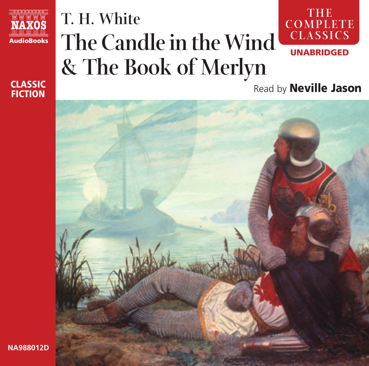

#### CLASSIC **FICTION**

**NA988012D**

#### **T. H. White The Candle in the Wind & The Book of Merlyn TH E COM PLETE CLASSICS** UNABRIDGED

Read by Neville Jason

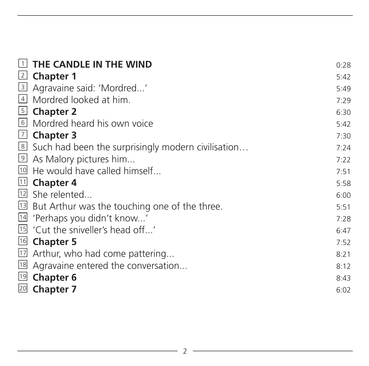| 1              | THE CANDLE IN THE WIND                                  | 0:28 |
|----------------|---------------------------------------------------------|------|
| 2              | <b>Chapter 1</b>                                        | 5:42 |
| $\overline{3}$ | Agravaine said: 'Mordred'                               | 5:49 |
|                | 4 Mordred looked at him.                                | 7:29 |
|                | 5 Chapter 2                                             | 6:30 |
|                | 6 Mordred heard his own voice                           | 5:42 |
|                | $\boxed{7}$ Chapter 3                                   | 7:30 |
|                | 8 Such had been the surprisingly modern civilisation    | 7:24 |
|                | 9 As Malory pictures him                                | 7:22 |
|                | <sup>10</sup> He would have called himself              | 7:51 |
|                | $\mathbb{1}$ Chapter 4                                  | 5:58 |
|                | 12 She relented                                         | 6:00 |
|                | <b>13</b> But Arthur was the touching one of the three. | 5:51 |
|                | <sup>14</sup> 'Perhaps you didn't know'                 | 7:28 |
|                | <sup>15</sup> 'Cut the sniveller's head off'            | 6:47 |
|                | <sup>16</sup> Chapter 5                                 | 7:52 |
| $17$           | Arthur, who had come pattering                          | 8:21 |
| 18             | Agravaine entered the conversation                      | 8:12 |
| 19             | <b>Chapter 6</b>                                        | 8:43 |
| 20             | <b>Chapter 7</b>                                        | 6:02 |
|                |                                                         |      |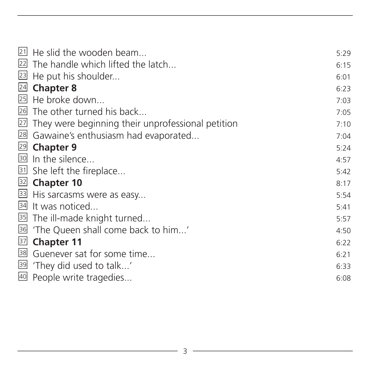| $21$ He slid the wooden beam                         | 5:29 |
|------------------------------------------------------|------|
| 22 The handle which lifted the latch                 | 6:15 |
| 23 He put his shoulder                               | 6:01 |
| 24 Chapter 8                                         | 6:23 |
| 25 He broke down                                     | 7:03 |
| 26 The other turned his back                         | 7:05 |
| 27 They were beginning their unprofessional petition | 7:10 |
| 28 Gawaine's enthusiasm had evaporated               | 7:04 |
| 29 Chapter 9                                         | 5:24 |
| 30 In the silence                                    | 4:57 |
| 31 She left the fireplace                            | 5:42 |
| 32 Chapter 10                                        | 8:17 |
| 33 His sarcasms were as easy                         | 5:54 |
| 34 It was noticed                                    | 5:41 |
| 35 The ill-made knight turned                        | 5:57 |
| <sup>36</sup> 'The Queen shall come back to him'     | 4:50 |
| <b>37</b> Chapter 11                                 | 6:22 |
| <sup>38</sup> Guenever sat for some time             | 6:21 |
| 39 'They did used to talk'                           | 6:33 |
| 40 People write tragedies                            | 6:08 |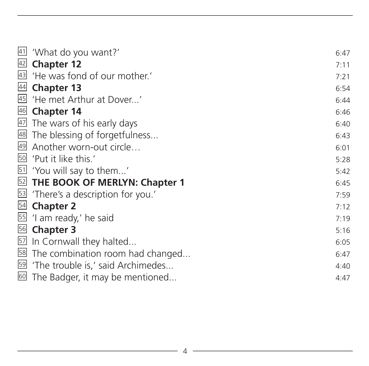|                 | 41 'What do you want?'                                                                                                        | 6:47 |
|-----------------|-------------------------------------------------------------------------------------------------------------------------------|------|
|                 | 42 Chapter 12                                                                                                                 | 7:11 |
| $\overline{43}$ | 'He was fond of our mother.'                                                                                                  | 7:21 |
| $\frac{44}{1}$  | <b>Chapter 13</b>                                                                                                             | 6:54 |
|                 | 45 'He met Arthur at Dover'                                                                                                   | 6:44 |
|                 | $\frac{46}{1}$ Chapter 14                                                                                                     | 6:46 |
|                 | 47 The wars of his early days                                                                                                 | 6:40 |
|                 | 48 The blessing of forgetfulness                                                                                              | 6:43 |
|                 | 49 Another worn-out circle                                                                                                    | 6:01 |
| 50              | 'Put it like this.'                                                                                                           | 5:28 |
|                 | 51 'You will say to them'                                                                                                     | 5:42 |
|                 |                                                                                                                               | 6:45 |
|                 |                                                                                                                               | 7:59 |
|                 | <b>EXECUTE:</b> THE BOOK OF MERLYN: Chapter 1<br><b>EXECUTE:</b> There's a description for you.'<br><b>EXECUTE:</b> Chapter 2 | 7:12 |
|                 | 55 'I am ready,' he said                                                                                                      | 7:19 |
|                 | 56 Chapter 3                                                                                                                  | 5:16 |
|                 | 57 In Cornwall they halted                                                                                                    | 6:05 |
| 58              | The combination room had changed                                                                                              | 6:47 |
|                 | 59 'The trouble is,' said Archimedes                                                                                          | 4:40 |
|                 | 60 The Badger, it may be mentioned                                                                                            | 4:47 |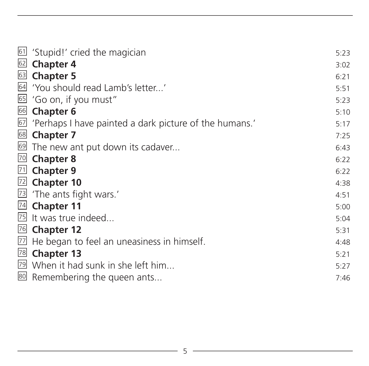|    | 61 'Stupid!' cried the magician                            | 5:23 |
|----|------------------------------------------------------------|------|
| 62 | <b>Chapter 4</b>                                           | 3:02 |
| 63 | <b>Chapter 5</b>                                           | 6:21 |
|    | 64 'You should read Lamb's letter'                         | 5:51 |
|    | 65 'Go on, if you must"                                    | 5:23 |
|    | 66 Chapter 6                                               | 5:10 |
|    | 67 'Perhaps I have painted a dark picture of the humans.'  | 5:17 |
|    | <sup>68</sup> Chapter 7                                    | 7:25 |
|    | 69 The new ant put down its cadaver                        | 6:43 |
| 70 | <b>Chapter 8</b>                                           | 6:22 |
| 71 | <b>Chapter 9</b>                                           | 6:22 |
|    | $\sqrt{22}$ Chapter 10                                     | 4:38 |
|    | 73 'The ants fight wars.'                                  | 4:51 |
|    | 74 Chapter 11                                              | 5:00 |
|    | <sup>75</sup> It was true indeed                           | 5:04 |
|    | 76 Chapter 12                                              | 5:31 |
|    | $\overline{22}$ He began to feel an uneasiness in himself. | 4:48 |
| 78 | <b>Chapter 13</b>                                          | 5:21 |
|    | 79 When it had sunk in she left him                        | 5:27 |
|    | 80 Remembering the queen ants                              | 7:46 |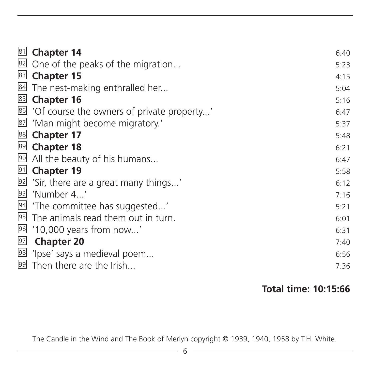| 81 | <b>Chapter 14</b>                                | 6:40 |
|----|--------------------------------------------------|------|
| 82 | One of the peaks of the migration                | 5:23 |
| 83 | <b>Chapter 15</b>                                | 4:15 |
| 84 | The nest-making enthralled her                   | 5:04 |
| 85 | <b>Chapter 16</b>                                | 5:16 |
|    | 86 'Of course the owners of private property'    | 6:47 |
| 87 | 'Man might become migratory.'                    | 5:37 |
| 88 | <b>Chapter 17</b>                                | 5:48 |
| 89 | <b>Chapter 18</b>                                | 6:21 |
| 90 | All the beauty of his humans                     | 6:47 |
| 91 | <b>Chapter 19</b>                                | 5:58 |
|    | $92$ 'Sir, there are a great many things'        | 6:12 |
| 93 | 'Number 4'                                       | 7:16 |
|    | 94 'The committee has suggested'                 | 5:21 |
|    | <sup>95</sup> The animals read them out in turn. | 6:01 |
| 96 | '10,000 years from now'                          | 6:31 |
| 97 | <b>Chapter 20</b>                                | 7:40 |
| 98 | 'lpse' says a medieval poem                      | 6:56 |
|    | 99 Then there are the Irish                      | 7:36 |
|    |                                                  |      |

#### **Total time: 10:15:66**

The Candle in the Wind and The Book of Merlyn copyright © 1939, 1940, 1958 by T.H. White.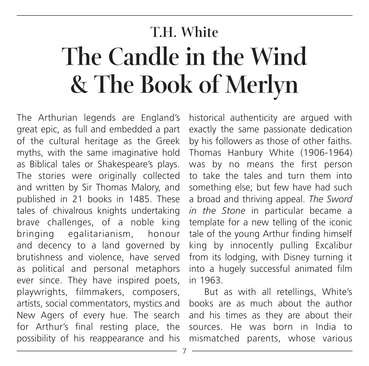# **The Candle in the Wind & The Book of Merlyn**

The Arthurian legends are England's great epic, as full and embedded a part of the cultural heritage as the Greek myths, with the same imaginative hold as Biblical tales or Shakespeare's plays. The stories were originally collected and written by Sir Thomas Malory, and published in 21 books in 1485. These tales of chivalrous knights undertaking brave challenges, of a noble king bringing egalitarianism, honour and decency to a land governed by brutishness and violence, have served as political and personal metaphors ever since. They have inspired poets, playwrights, filmmakers, composers, artists, social commentators, mystics and New Agers of every hue. The search for Arthur's final resting place, the possibility of his reappearance and his 7**T.H. White**

historical authenticity are argued with exactly the same passionate dedication by his followers as those of other faiths. Thomas Hanbury White (1906-1964) was by no means the first person to take the tales and turn them into something else; but few have had such a broad and thriving appeal. *The Sword in the Stone* in particular became a template for a new telling of the iconic tale of the young Arthur finding himself king by innocently pulling Excalibur from its lodging, with Disney turning it into a hugely successful animated film in 1963.

But as with all retellings, White's books are as much about the author and his times as they are about their sources. He was born in India to mismatched parents, whose various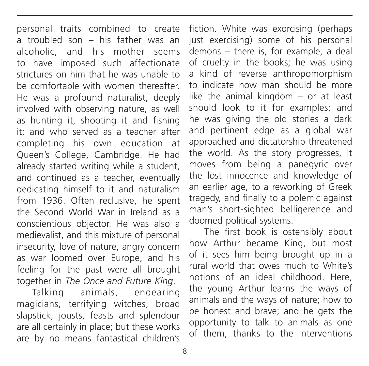personal traits combined to create a troubled son – his father was an alcoholic, and his mother seems to have imposed such affectionate strictures on him that he was unable to be comfortable with women thereafter. He was a profound naturalist, deeply involved with observing nature, as well as hunting it, shooting it and fishing it; and who served as a teacher after completing his own education at Queen's College, Cambridge. He had already started writing while a student, and continued as a teacher, eventually dedicating himself to it and naturalism from 1936. Often reclusive, he spent the Second World War in Ireland as a conscientious objector. He was also a medievalist, and this mixture of personal insecurity, love of nature, angry concern as war loomed over Europe, and his feeling for the past were all brought together in *The Once and Future King*.

Talking animals, endearing magicians, terrifying witches, broad slapstick, jousts, feasts and splendour are all certainly in place; but these works are by no means fantastical children's

fiction. White was exorcising (perhaps just exercising) some of his personal demons – there is, for example, a deal of cruelty in the books; he was using a kind of reverse anthropomorphism to indicate how man should be more like the animal kingdom – or at least should look to it for examples; and he was giving the old stories a dark and pertinent edge as a global war approached and dictatorship threatened the world. As the story progresses, it moves from being a panegyric over the lost innocence and knowledge of an earlier age, to a reworking of Greek tragedy, and finally to a polemic against man's short-sighted belligerence and doomed political systems.

The first book is ostensibly about how Arthur became King, but most of it sees him being brought up in a rural world that owes much to White's notions of an ideal childhood. Here, the young Arthur learns the ways of animals and the ways of nature; how to be honest and brave; and he gets the opportunity to talk to animals as one of them, thanks to the interventions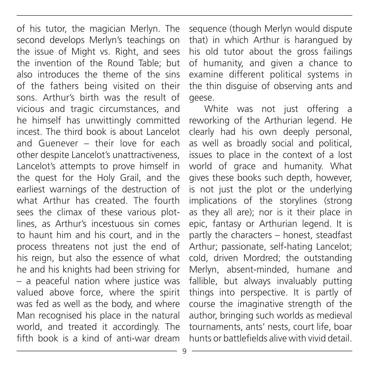of his tutor, the magician Merlyn. The second develops Merlyn's teachings on the issue of Might vs. Right, and sees the invention of the Round Table; but also introduces the theme of the sins of the fathers being visited on their sons. Arthur's birth was the result of vicious and tragic circumstances, and he himself has unwittingly committed incest. The third book is about Lancelot and Guenever – their love for each other despite Lancelot's unattractiveness, Lancelot's attempts to prove himself in the quest for the Holy Grail, and the earliest warnings of the destruction of what Arthur has created. The fourth sees the climax of these various plotlines, as Arthur's incestuous sin comes to haunt him and his court, and in the process threatens not just the end of his reign, but also the essence of what he and his knights had been striving for – a peaceful nation where justice was valued above force, where the spirit was fed as well as the body, and where Man recognised his place in the natural world, and treated it accordingly. The fifth book is a kind of anti-war dream

sequence (though Merlyn would dispute that) in which Arthur is harangued by his old tutor about the gross failings of humanity, and given a chance to examine different political systems in the thin disguise of observing ants and geese.

White was not just offering a reworking of the Arthurian legend. He clearly had his own deeply personal, as well as broadly social and political, issues to place in the context of a lost world of grace and humanity. What gives these books such depth, however, is not just the plot or the underlying implications of the storylines (strong as they all are); nor is it their place in epic, fantasy or Arthurian legend. It is partly the characters – honest, steadfast Arthur; passionate, self-hating Lancelot; cold, driven Mordred; the outstanding Merlyn, absent-minded, humane and fallible, but always invaluably putting things into perspective. It is partly of course the imaginative strength of the author, bringing such worlds as medieval tournaments, ants' nests, court life, boar hunts or battlefields alive with vivid detail.

q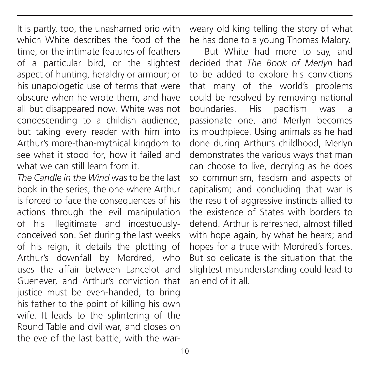It is partly, too, the unashamed brio with which White describes the food of the time, or the intimate features of feathers of a particular bird, or the slightest aspect of hunting, heraldry or armour; or his unapologetic use of terms that were obscure when he wrote them, and have all but disappeared now. White was not condescending to a childish audience, but taking every reader with him into Arthur's more-than-mythical kingdom to see what it stood for, how it failed and what we can still learn from it.

*The Candle in the Wind* was to be the last book in the series, the one where Arthur is forced to face the consequences of his actions through the evil manipulation of his illegitimate and incestuouslyconceived son. Set during the last weeks of his reign, it details the plotting of Arthur's downfall by Mordred, who uses the affair between Lancelot and Guenever, and Arthur's conviction that justice must be even-handed, to bring his father to the point of killing his own wife. It leads to the splintering of the Round Table and civil war, and closes on the eve of the last battle, with the warweary old king telling the story of what he has done to a young Thomas Malory.

But White had more to say, and decided that *The Book of Merlyn* had to be added to explore his convictions that many of the world's problems could be resolved by removing national boundaries. His pacifism was a passionate one, and Merlyn becomes its mouthpiece. Using animals as he had done during Arthur's childhood, Merlyn demonstrates the various ways that man can choose to live, decrying as he does so communism, fascism and aspects of capitalism; and concluding that war is the result of aggressive instincts allied to the existence of States with borders to defend. Arthur is refreshed, almost filled with hope again, by what he hears; and hopes for a truce with Mordred's forces. But so delicate is the situation that the slightest misunderstanding could lead to an end of it all.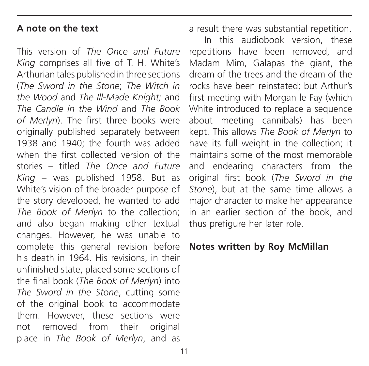#### **A note on the text**

This version of *The Once and Future King* comprises all five of T. H. White's Arthurian tales published in three sections (*The Sword in the Stone*; *The Witch in the Wood* and *The Ill-Made Knight;* and *The Candle in the Wind* and *The Book of Merlyn*). The first three books were originally published separately between 1938 and 1940; the fourth was added when the first collected version of the stories – titled *The Once and Future King* – was published 1958. But as White's vision of the broader purpose of the story developed, he wanted to add *The Book of Merlyn* to the collection; and also began making other textual changes. However, he was unable to complete this general revision before his death in 1964. His revisions, in their unfinished state, placed some sections of the final book (*The Book of Merlyn*) into *The Sword in the Stone*, cutting some of the original book to accommodate them. However, these sections were not removed from their original place in *The Book of Merlyn*, and as

a result there was substantial repetition.

In this audiobook version, these repetitions have been removed, and Madam Mim, Galapas the giant, the dream of the trees and the dream of the rocks have been reinstated; but Arthur's first meeting with Morgan le Fay (which White introduced to replace a sequence about meeting cannibals) has been kept. This allows *The Book of Merlyn* to have its full weight in the collection; it maintains some of the most memorable and endearing characters from the original first book (*The Sword in the Stone*), but at the same time allows a major character to make her appearance in an earlier section of the book, and thus prefigure her later role.

#### **Notes written by Roy McMillan**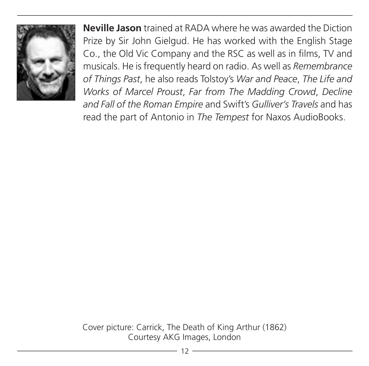

**Neville Jason** trained at RADA where he was awarded the Diction Prize by Sir John Gielgud. He has worked with the English Stage Co., the Old Vic Company and the RSC as well as in films, TV and musicals. He is frequently heard on radio. As well as *Remembrance of Things Past*, he also reads Tolstoy's *War and Peace*, *The Life and Works of Marcel Proust*, *Far from The Madding Crowd*, *Decline and Fall of the Roman Empire* and Swift's *Gulliver's Travels* and has read the part of Antonio in *The Tempest* for Naxos AudioBooks.

Cover picture: Carrick, The Death of King Arthur (1862) Courtesy AKG Images, London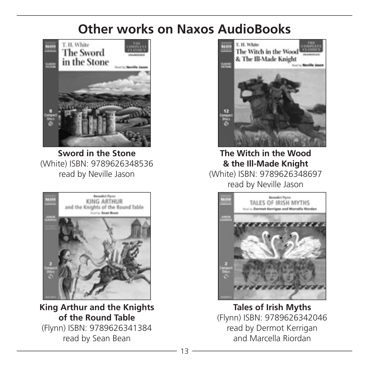## **Other works on Naxos AudioBooks**



**Sword in the Stone** (White) ISBN: 9789626348536 read by Neville Jason



**King Arthur and the Knights of the Round Table** (Flynn) ISBN: 9789626341384 read by Sean Bean



**The Witch in the Wood & the Ill-Made Knight**  (White) ISBN: 9789626348697 read by Neville Jason



**Tales of Irish Myths** (Flynn) ISBN: 9789626342046 read by Dermot Kerrigan and Marcella Riordan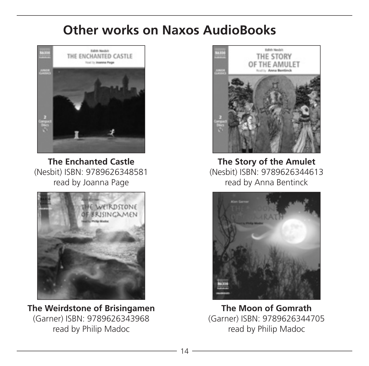## **Other works on Naxos AudioBooks**



**The Enchanted Castle** (Nesbit) ISBN: 9789626348581 read by Joanna Page



**The Weirdstone of Brisingamen** (Garner) ISBN: 9789626343968 read by Philip Madoc



**The Story of the Amulet** (Nesbit) ISBN: 9789626344613 read by Anna Bentinck



**The Moon of Gomrath** (Garner) ISBN: 9789626344705 read by Philip Madoc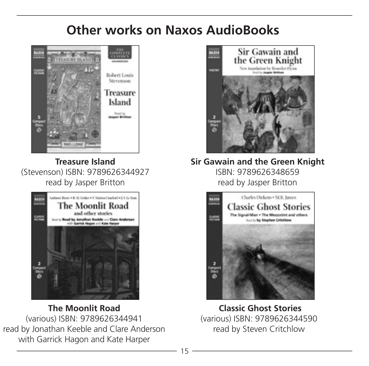# **Other works on Naxos AudioBooks**



**Treasure Island** (Stevenson) ISBN: 9789626344927 read by Jasper Britton



**The Moonlit Road** (various) ISBN: 9789626344941 read by Jonathan Keeble and Clare Anderson with Garrick Hagon and Kate Harper



**Sir Gawain and the Green Knight** ISBN: 9789626348659 read by Jasper Britton



 **Classic Ghost Stories** (various) ISBN: 9789626344590 read by Steven Critchlow